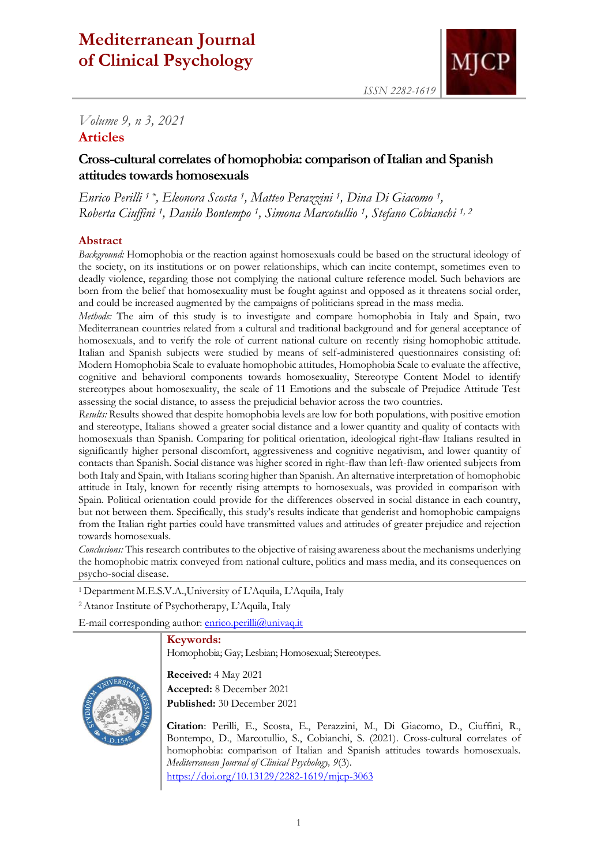# **Mediterranean Journal of Clinical Psychology**



# *Volume 9, n 3, 2021*

# **Articles**

# **Cross-cultural correlates of homophobia: comparison of Italian and Spanish attitudes towards homosexuals**

*Enrico Perilli 1 \*, Eleonora Scosta 1, Matteo Perazzini 1, Dina Di Giacomo 1, Roberta Ciuffini 1, Danilo Bontempo 1, Simona Marcotullio 1, Stefano Cobianchi 1, 2*

#### **Abstract**

*Background:* Homophobia or the reaction against homosexuals could be based on the structural ideology of the society, on its institutions or on power relationships, which can incite contempt, sometimes even to deadly violence, regarding those not complying the national culture reference model. Such behaviors are born from the belief that homosexuality must be fought against and opposed as it threatens social order, and could be increased augmented by the campaigns of politicians spread in the mass media.

*Methods:* The aim of this study is to investigate and compare homophobia in Italy and Spain, two Mediterranean countries related from a cultural and traditional background and for general acceptance of homosexuals, and to verify the role of current national culture on recently rising homophobic attitude. Italian and Spanish subjects were studied by means of self-administered questionnaires consisting of: Modern Homophobia Scale to evaluate homophobic attitudes, Homophobia Scale to evaluate the affective, cognitive and behavioral components towards homosexuality, Stereotype Content Model to identify stereotypes about homosexuality, the scale of 11 Emotions and the subscale of Prejudice Attitude Test assessing the social distance, to assess the prejudicial behavior across the two countries.

*Results:* Results showed that despite homophobia levels are low for both populations, with positive emotion and stereotype, Italians showed a greater social distance and a lower quantity and quality of contacts with homosexuals than Spanish. Comparing for political orientation, ideological right-flaw Italians resulted in significantly higher personal discomfort, aggressiveness and cognitive negativism, and lower quantity of contacts than Spanish. Social distance was higher scored in right-flaw than left-flaw oriented subjects from both Italy and Spain, with Italians scoring higher than Spanish. An alternative interpretation of homophobic attitude in Italy, known for recently rising attempts to homosexuals, was provided in comparison with Spain. Political orientation could provide for the differences observed in social distance in each country, but not between them. Specifically, this study's results indicate that genderist and homophobic campaigns from the Italian right parties could have transmitted values and attitudes of greater prejudice and rejection towards homosexuals.

*Conclusions:* This research contributes to the objective of raising awareness about the mechanisms underlying the homophobic matrix conveyed from national culture, politics and mass media, and its consequences on psycho-social disease.

<sup>1</sup>Department M.E.S.V.A.,University of L'Aquila, L'Aquila, Italy

<sup>2</sup>Atanor Institute of Psychotherapy, L'Aquila, Italy

E-mail corresponding author: [enrico.perilli@univaq.it](mailto:enrico.perilli@univaq.it)

#### **Keywords:**

Homophobia; Gay; Lesbian; Homosexual; Stereotypes.



**Received:** 4 May 2021 **Accepted:** 8 December 2021 **Published:** 30 December 2021

**Citation**: Perilli, E., Scosta, E., Perazzini, M., Di Giacomo, D., Ciuffini, R., Bontempo, D., Marcotullio, S., Cobianchi, S. (2021). Cross-cultural correlates of homophobia: comparison of Italian and Spanish attitudes towards homosexuals. *Mediterranean Journal of Clinical Psychology, 9*(3). <https://doi.org/10.13129/2282-1619/mjcp-3063>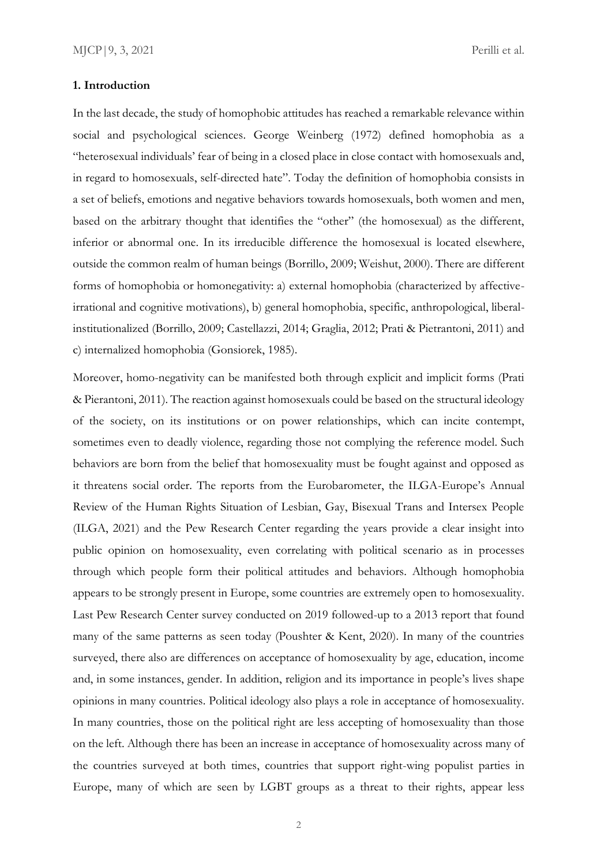#### **1. Introduction**

In the last decade, the study of homophobic attitudes has reached a remarkable relevance within social and psychological sciences. George Weinberg (1972) defined homophobia as a "heterosexual individuals' fear of being in a closed place in close contact with homosexuals and, in regard to homosexuals, self-directed hate". Today the definition of homophobia consists in a set of beliefs, emotions and negative behaviors towards homosexuals, both women and men, based on the arbitrary thought that identifies the "other" (the homosexual) as the different, inferior or abnormal one. In its irreducible difference the homosexual is located elsewhere, outside the common realm of human beings (Borrillo, 2009; Weishut, 2000). There are different forms of homophobia or homonegativity: a) external homophobia (characterized by affectiveirrational and cognitive motivations), b) general homophobia, specific, anthropological, liberalinstitutionalized (Borrillo, 2009; Castellazzi, 2014; Graglia, 2012; Prati & Pietrantoni, 2011) and c) internalized homophobia (Gonsiorek, 1985).

Moreover, homo-negativity can be manifested both through explicit and implicit forms (Prati & Pierantoni, 2011). The reaction against homosexuals could be based on the structural ideology of the society, on its institutions or on power relationships, which can incite contempt, sometimes even to deadly violence, regarding those not complying the reference model. Such behaviors are born from the belief that homosexuality must be fought against and opposed as it threatens social order. The reports from the Eurobarometer, the ILGA-Europe's Annual Review of the Human Rights Situation of Lesbian, Gay, Bisexual Trans and Intersex People (ILGA, 2021) and the Pew Research Center regarding the years provide a clear insight into public opinion on homosexuality, even correlating with political scenario as in processes through which people form their political attitudes and behaviors. Although homophobia appears to be strongly present in Europe, some countries are extremely open to homosexuality. Last Pew Research Center survey conducted on 2019 followed-up to a 2013 report that found many of the same patterns as seen today (Poushter & Kent, 2020). In many of the countries surveyed, there also are differences on acceptance of homosexuality by age, education, income and, in some instances, gender. In addition, religion and its importance in people's lives shape opinions in many countries. Political ideology also plays a role in acceptance of homosexuality. In many countries, those on the political right are less accepting of homosexuality than those on the left. Although there has been an increase in acceptance of homosexuality across many of the countries surveyed at both times, countries that support right-wing populist parties in Europe, many of which are seen by LGBT groups as a threat to their rights, appear less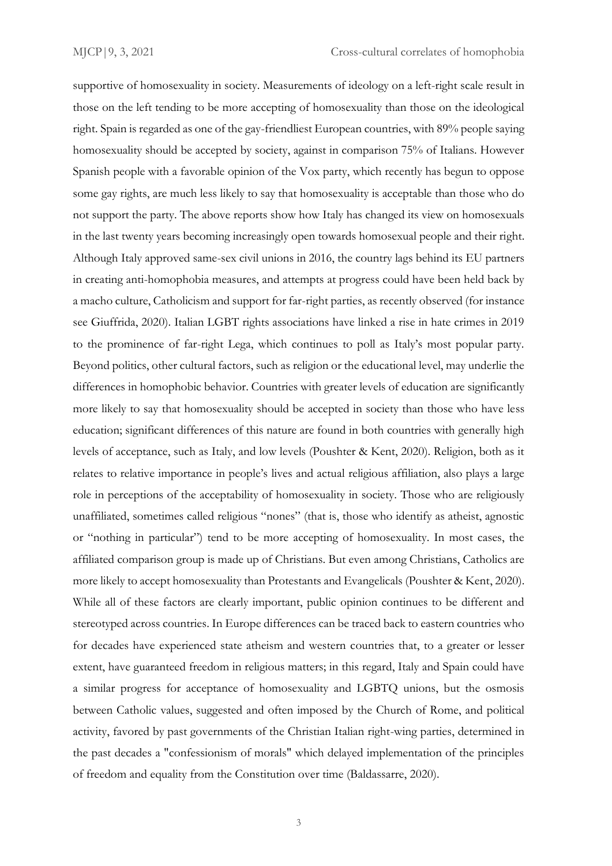supportive of homosexuality in society. Measurements of ideology on a left-right scale result in those on the left tending to be more accepting of homosexuality than those on the ideological right. Spain is regarded as one of the gay-friendliest European countries, with 89% people saying homosexuality should be accepted by society, against in comparison 75% of Italians. However Spanish people with a favorable opinion of the Vox party, which recently has begun to oppose some gay rights, are much less likely to say that homosexuality is acceptable than those who do not support the party. The above reports show how Italy has changed its view on homosexuals in the last twenty years becoming increasingly open towards homosexual people and their right. Although Italy approved same-sex civil unions in 2016, the country lags behind its EU partners in creating anti-homophobia measures, and attempts at progress could have been held back by a macho culture, Catholicism and support for far-right parties, as recently observed (for instance see Giuffrida, 2020). Italian LGBT rights associations have linked a rise in hate crimes in 2019 to the prominence of far-right Lega, which continues to poll as Italy's most popular party. Beyond politics, other cultural factors, such as religion or the educational level, may underlie the differences in homophobic behavior. Countries with greater levels of education are significantly more likely to say that homosexuality should be accepted in society than those who have less education; significant differences of this nature are found in both countries with generally high levels of acceptance, such as Italy, and low levels (Poushter & Kent, 2020). Religion, both as it relates to relative importance in people's lives and actual religious affiliation, also plays a large role in perceptions of the acceptability of homosexuality in society. Those who are religiously unaffiliated, sometimes called religious "nones" (that is, those who identify as atheist, agnostic or "nothing in particular") tend to be more accepting of homosexuality. In most cases, the affiliated comparison group is made up of Christians. But even among Christians, Catholics are more likely to accept homosexuality than Protestants and Evangelicals (Poushter & Kent, 2020). While all of these factors are clearly important, public opinion continues to be different and stereotyped across countries. In Europe differences can be traced back to eastern countries who for decades have experienced state atheism and western countries that, to a greater or lesser extent, have guaranteed freedom in religious matters; in this regard, Italy and Spain could have a similar progress for acceptance of homosexuality and LGBTQ unions, but the osmosis between Catholic values, suggested and often imposed by the Church of Rome, and political activity, favored by past governments of the Christian Italian right-wing parties, determined in the past decades a "confessionism of morals" which delayed implementation of the principles of freedom and equality from the Constitution over time (Baldassarre, 2020).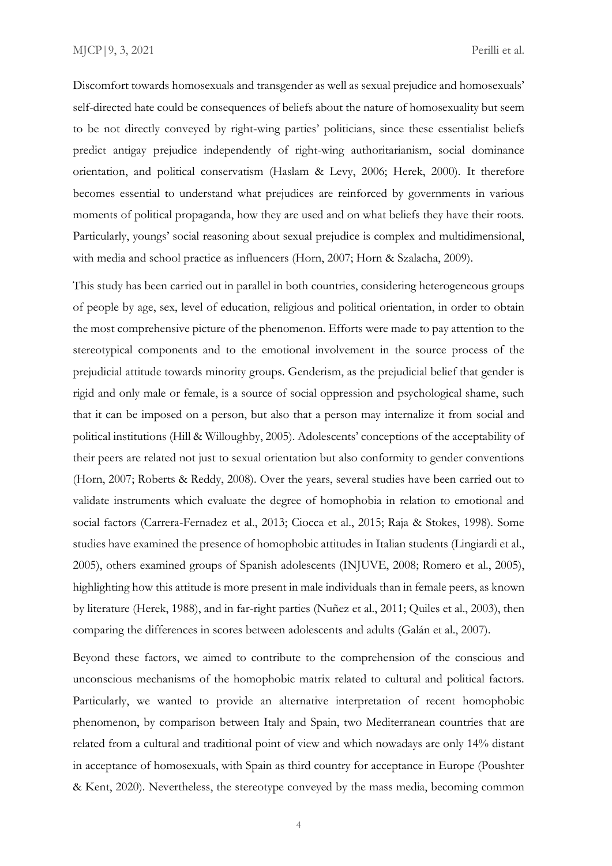Discomfort towards homosexuals and transgender as well as sexual prejudice and homosexuals' self-directed hate could be consequences of beliefs about the nature of homosexuality but seem to be not directly conveyed by right-wing parties' politicians, since these essentialist beliefs predict antigay prejudice independently of right-wing authoritarianism, social dominance orientation, and political conservatism (Haslam & Levy, 2006; Herek, 2000). It therefore becomes essential to understand what prejudices are reinforced by governments in various moments of political propaganda, how they are used and on what beliefs they have their roots. Particularly, youngs' social reasoning about sexual prejudice is complex and multidimensional, with media and school practice as influencers (Horn, 2007; Horn & Szalacha, 2009).

This study has been carried out in parallel in both countries, considering heterogeneous groups of people by age, sex, level of education, religious and political orientation, in order to obtain the most comprehensive picture of the phenomenon. Efforts were made to pay attention to the stereotypical components and to the emotional involvement in the source process of the prejudicial attitude towards minority groups. Genderism, as the prejudicial belief that gender is rigid and only male or female, is a source of social oppression and psychological shame, such that it can be imposed on a person, but also that a person may internalize it from social and political institutions (Hill & Willoughby, 2005). Adolescents' conceptions of the acceptability of their peers are related not just to sexual orientation but also conformity to gender conventions (Horn, 2007; Roberts & Reddy, 2008). Over the years, several studies have been carried out to validate instruments which evaluate the degree of homophobia in relation to emotional and social factors (Carrera-Fernadez et al., 2013; Ciocca et al., 2015; Raja & Stokes, 1998). Some studies have examined the presence of homophobic attitudes in Italian students (Lingiardi et al., 2005), others examined groups of Spanish adolescents (INJUVE, 2008; Romero et al., 2005), highlighting how this attitude is more present in male individuals than in female peers, as known by literature (Herek, 1988), and in far-right parties (Nuñez et al., 2011; Quiles et al., 2003), then comparing the differences in scores between adolescents and adults (Galán et al., 2007).

Beyond these factors, we aimed to contribute to the comprehension of the conscious and unconscious mechanisms of the homophobic matrix related to cultural and political factors. Particularly, we wanted to provide an alternative interpretation of recent homophobic phenomenon, by comparison between Italy and Spain, two Mediterranean countries that are related from a cultural and traditional point of view and which nowadays are only 14% distant in acceptance of homosexuals, with Spain as third country for acceptance in Europe (Poushter & Kent, 2020). Nevertheless, the stereotype conveyed by the mass media, becoming common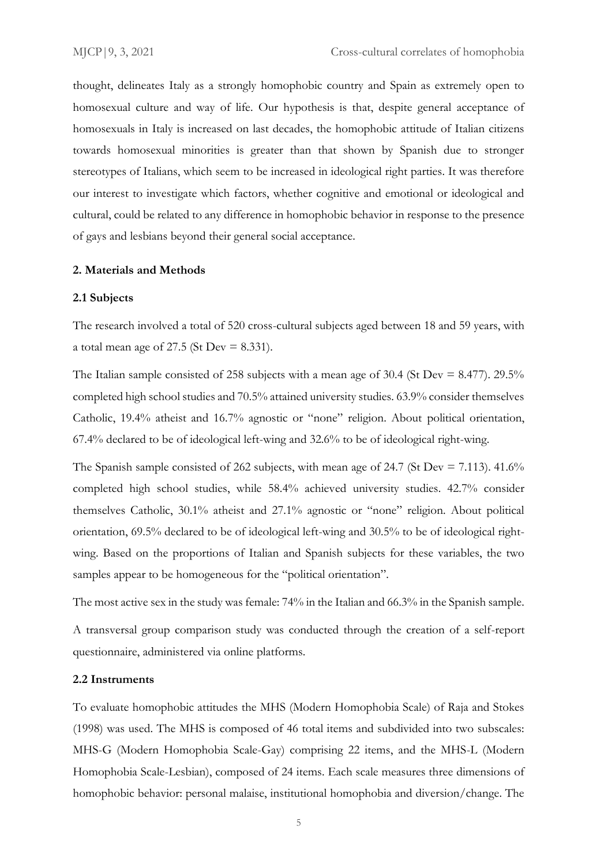thought, delineates Italy as a strongly homophobic country and Spain as extremely open to homosexual culture and way of life. Our hypothesis is that, despite general acceptance of homosexuals in Italy is increased on last decades, the homophobic attitude of Italian citizens towards homosexual minorities is greater than that shown by Spanish due to stronger stereotypes of Italians, which seem to be increased in ideological right parties. It was therefore our interest to investigate which factors, whether cognitive and emotional or ideological and cultural, could be related to any difference in homophobic behavior in response to the presence of gays and lesbians beyond their general social acceptance.

#### **2. Materials and Methods**

#### **2.1 Subjects**

The research involved a total of 520 cross-cultural subjects aged between 18 and 59 years, with a total mean age of 27.5 (St Dev  $= 8.331$ ).

The Italian sample consisted of 258 subjects with a mean age of 30.4 (St Dev = 8.477). 29.5% completed high school studies and 70.5% attained university studies. 63.9% consider themselves Catholic, 19.4% atheist and 16.7% agnostic or "none" religion. About political orientation, 67.4% declared to be of ideological left-wing and 32.6% to be of ideological right-wing.

The Spanish sample consisted of 262 subjects, with mean age of 24.7 (St Dev  $= 7.113$ ). 41.6% completed high school studies, while 58.4% achieved university studies. 42.7% consider themselves Catholic, 30.1% atheist and 27.1% agnostic or "none" religion. About political orientation, 69.5% declared to be of ideological left-wing and 30.5% to be of ideological rightwing. Based on the proportions of Italian and Spanish subjects for these variables, the two samples appear to be homogeneous for the "political orientation".

The most active sex in the study was female: 74% in the Italian and 66.3% in the Spanish sample. A transversal group comparison study was conducted through the creation of a self-report

questionnaire, administered via online platforms.

#### **2.2 Instruments**

To evaluate homophobic attitudes the MHS (Modern Homophobia Scale) of Raja and Stokes (1998) was used. The MHS is composed of 46 total items and subdivided into two subscales: MHS-G (Modern Homophobia Scale-Gay) comprising 22 items, and the MHS-L (Modern Homophobia Scale-Lesbian), composed of 24 items. Each scale measures three dimensions of homophobic behavior: personal malaise, institutional homophobia and diversion/change. The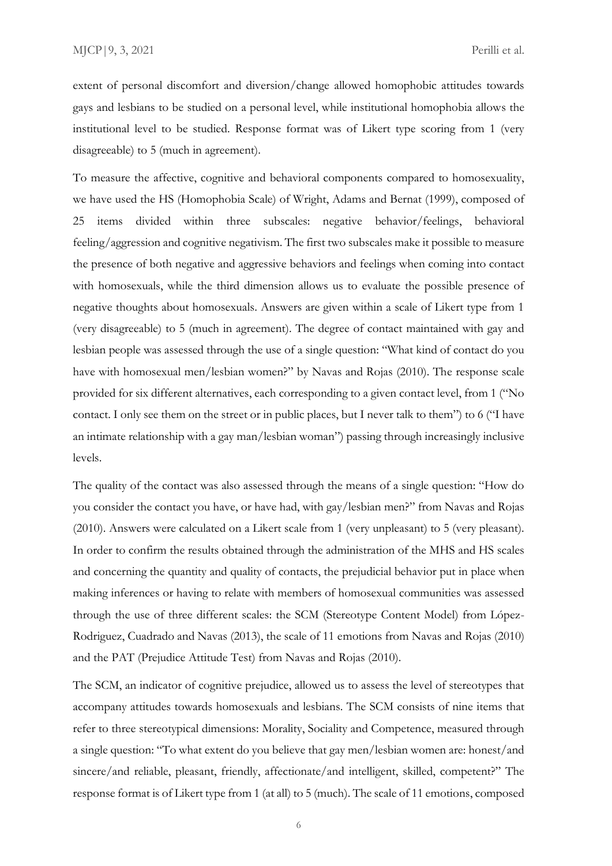extent of personal discomfort and diversion/change allowed homophobic attitudes towards gays and lesbians to be studied on a personal level, while institutional homophobia allows the institutional level to be studied. Response format was of Likert type scoring from 1 (very disagreeable) to 5 (much in agreement).

To measure the affective, cognitive and behavioral components compared to homosexuality, we have used the HS (Homophobia Scale) of Wright, Adams and Bernat (1999), composed of 25 items divided within three subscales: negative behavior/feelings, behavioral feeling/aggression and cognitive negativism. The first two subscales make it possible to measure the presence of both negative and aggressive behaviors and feelings when coming into contact with homosexuals, while the third dimension allows us to evaluate the possible presence of negative thoughts about homosexuals. Answers are given within a scale of Likert type from 1 (very disagreeable) to 5 (much in agreement). The degree of contact maintained with gay and lesbian people was assessed through the use of a single question: "What kind of contact do you have with homosexual men/lesbian women?" by Navas and Rojas (2010). The response scale provided for six different alternatives, each corresponding to a given contact level, from 1 ("No contact. I only see them on the street or in public places, but I never talk to them") to 6 ("I have an intimate relationship with a gay man/lesbian woman") passing through increasingly inclusive levels.

The quality of the contact was also assessed through the means of a single question: "How do you consider the contact you have, or have had, with gay/lesbian men?" from Navas and Rojas (2010). Answers were calculated on a Likert scale from 1 (very unpleasant) to 5 (very pleasant). In order to confirm the results obtained through the administration of the MHS and HS scales and concerning the quantity and quality of contacts, the prejudicial behavior put in place when making inferences or having to relate with members of homosexual communities was assessed through the use of three different scales: the SCM (Stereotype Content Model) from López-Rodriguez, Cuadrado and Navas (2013), the scale of 11 emotions from Navas and Rojas (2010) and the PAT (Prejudice Attitude Test) from Navas and Rojas (2010).

The SCM, an indicator of cognitive prejudice, allowed us to assess the level of stereotypes that accompany attitudes towards homosexuals and lesbians. The SCM consists of nine items that refer to three stereotypical dimensions: Morality, Sociality and Competence, measured through a single question: "To what extent do you believe that gay men/lesbian women are: honest/and sincere/and reliable, pleasant, friendly, affectionate/and intelligent, skilled, competent?" The response format is of Likert type from 1 (at all) to 5 (much). The scale of 11 emotions, composed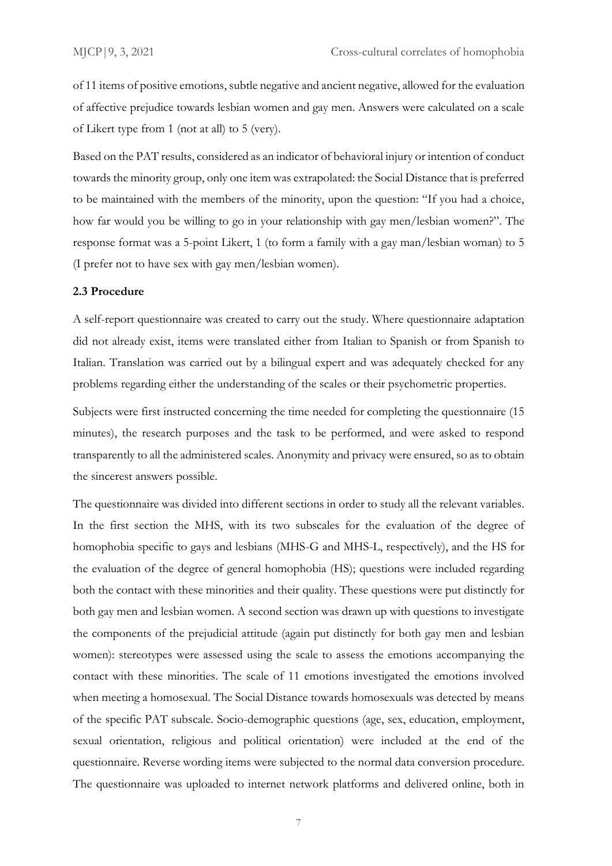of 11 items of positive emotions, subtle negative and ancient negative, allowed for the evaluation of affective prejudice towards lesbian women and gay men. Answers were calculated on a scale of Likert type from 1 (not at all) to 5 (very).

Based on the PAT results, considered as an indicator of behavioral injury or intention of conduct towards the minority group, only one item was extrapolated: the Social Distance that is preferred to be maintained with the members of the minority, upon the question: "If you had a choice, how far would you be willing to go in your relationship with gay men/lesbian women?". The response format was a 5-point Likert, 1 (to form a family with a gay man/lesbian woman) to 5 (I prefer not to have sex with gay men/lesbian women).

#### **2.3 Procedure**

A self-report questionnaire was created to carry out the study. Where questionnaire adaptation did not already exist, items were translated either from Italian to Spanish or from Spanish to Italian. Translation was carried out by a bilingual expert and was adequately checked for any problems regarding either the understanding of the scales or their psychometric properties.

Subjects were first instructed concerning the time needed for completing the questionnaire (15 minutes), the research purposes and the task to be performed, and were asked to respond transparently to all the administered scales. Anonymity and privacy were ensured, so as to obtain the sincerest answers possible.

The questionnaire was divided into different sections in order to study all the relevant variables. In the first section the MHS, with its two subscales for the evaluation of the degree of homophobia specific to gays and lesbians (MHS-G and MHS-L, respectively), and the HS for the evaluation of the degree of general homophobia (HS); questions were included regarding both the contact with these minorities and their quality. These questions were put distinctly for both gay men and lesbian women. A second section was drawn up with questions to investigate the components of the prejudicial attitude (again put distinctly for both gay men and lesbian women): stereotypes were assessed using the scale to assess the emotions accompanying the contact with these minorities. The scale of 11 emotions investigated the emotions involved when meeting a homosexual. The Social Distance towards homosexuals was detected by means of the specific PAT subscale. Socio-demographic questions (age, sex, education, employment, sexual orientation, religious and political orientation) were included at the end of the questionnaire. Reverse wording items were subjected to the normal data conversion procedure. The questionnaire was uploaded to internet network platforms and delivered online, both in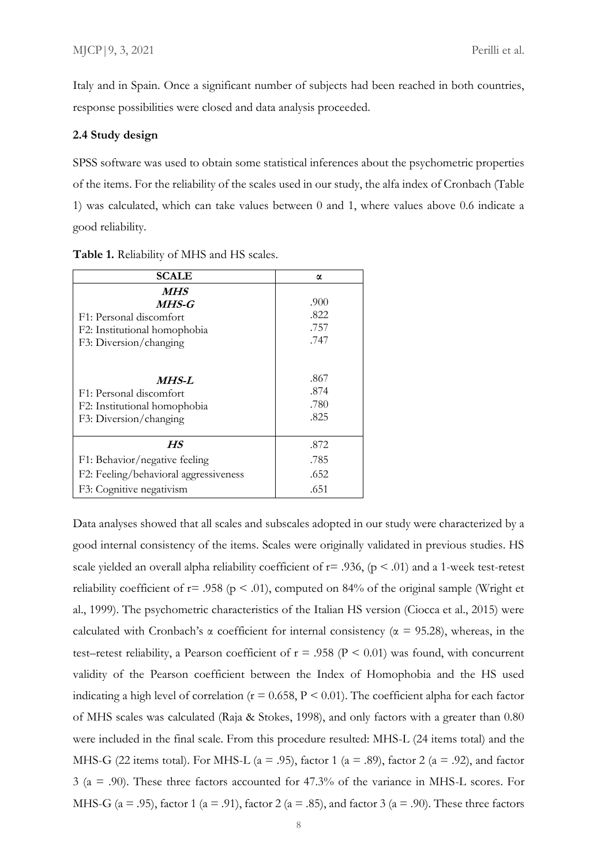Italy and in Spain. Once a significant number of subjects had been reached in both countries, response possibilities were closed and data analysis proceeded.

#### **2.4 Study design**

SPSS software was used to obtain some statistical inferences about the psychometric properties of the items. For the reliability of the scales used in our study, the alfa index of Cronbach (Table 1) was calculated, which can take values between 0 and 1, where values above 0.6 indicate a good reliability.

| <b>SCALE</b>                                                                                               | α                            |
|------------------------------------------------------------------------------------------------------------|------------------------------|
| <i>MHS</i><br>$MHS-G$<br>F1: Personal discomfort<br>F2: Institutional homophobia<br>F3: Diversion/changing | .900<br>.822<br>.757<br>.747 |
| <i>MHS-L</i>                                                                                               | .867                         |
| F1: Personal discomfort                                                                                    | .874                         |
| F2: Institutional homophobia                                                                               | .780                         |
| F3: Diversion/changing                                                                                     | .825                         |
| HS                                                                                                         | .872                         |
| F1: Behavior/negative feeling                                                                              | .785                         |
| F2: Feeling/behavioral aggressiveness                                                                      | .652                         |
| F3: Cognitive negativism                                                                                   | .651                         |

**Table 1.** Reliability of MHS and HS scales.

Data analyses showed that all scales and subscales adopted in our study were characterized by a good internal consistency of the items. Scales were originally validated in previous studies. HS scale yielded an overall alpha reliability coefficient of  $r = .936$ , ( $p < .01$ ) and a 1-week test-retest reliability coefficient of  $r = .958$  ( $p < .01$ ), computed on 84% of the original sample (Wright et al., 1999). The psychometric characteristics of the Italian HS version (Ciocca et al., 2015) were calculated with Cronbach's  $\alpha$  coefficient for internal consistency ( $\alpha$  = 95.28), whereas, in the test–retest reliability, a Pearson coefficient of  $r = .958$  ( $P < 0.01$ ) was found, with concurrent validity of the Pearson coefficient between the Index of Homophobia and the HS used indicating a high level of correlation ( $r = 0.658$ ,  $P < 0.01$ ). The coefficient alpha for each factor of MHS scales was calculated (Raja & Stokes, 1998), and only factors with a greater than 0.80 were included in the final scale. From this procedure resulted: MHS-L (24 items total) and the MHS-G (22 items total). For MHS-L ( $a = .95$ ), factor 1 ( $a = .89$ ), factor 2 ( $a = .92$ ), and factor 3 (a = .90). These three factors accounted for 47.3% of the variance in MHS-L scores. For MHS-G ( $a = .95$ ), factor 1 ( $a = .91$ ), factor 2 ( $a = .85$ ), and factor 3 ( $a = .90$ ). These three factors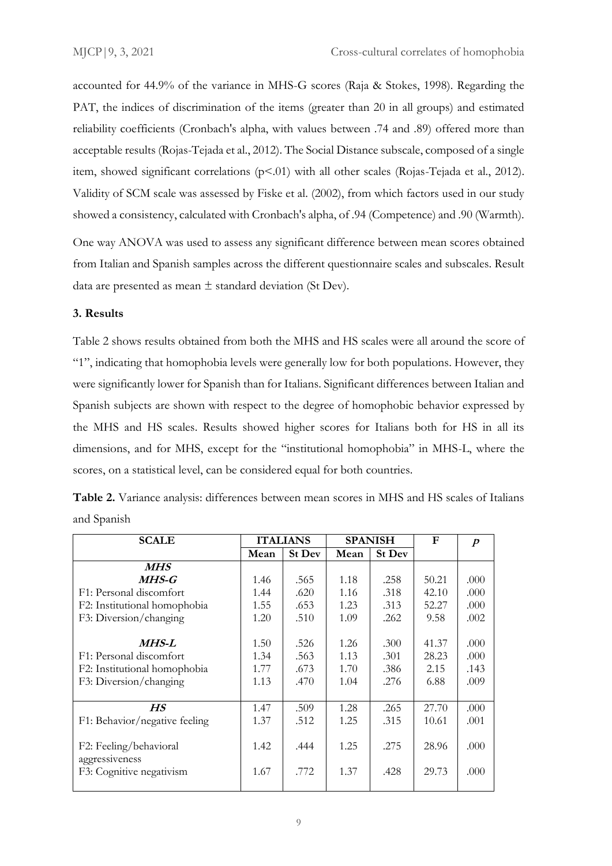accounted for 44.9% of the variance in MHS-G scores (Raja & Stokes, 1998). Regarding the PAT, the indices of discrimination of the items (greater than 20 in all groups) and estimated reliability coefficients (Cronbach's alpha, with values between .74 and .89) offered more than acceptable results (Rojas-Tejada et al., 2012). The Social Distance subscale, composed of a single item, showed significant correlations (p<.01) with all other scales (Rojas-Tejada et al., 2012). Validity of SCM scale was assessed by Fiske et al. (2002), from which factors used in our study showed a consistency, calculated with Cronbach's alpha, of .94 (Competence) and .90 (Warmth).

One way ANOVA was used to assess any significant difference between mean scores obtained from Italian and Spanish samples across the different questionnaire scales and subscales. Result data are presented as mean  $\pm$  standard deviation (St Dev).

# **3. Results**

Table 2 shows results obtained from both the MHS and HS scales were all around the score of "1", indicating that homophobia levels were generally low for both populations. However, they were significantly lower for Spanish than for Italians. Significant differences between Italian and Spanish subjects are shown with respect to the degree of homophobic behavior expressed by the MHS and HS scales. Results showed higher scores for Italians both for HS in all its dimensions, and for MHS, except for the "institutional homophobia" in MHS-L, where the scores, on a statistical level, can be considered equal for both countries.

| <b>SCALE</b>                  |      | <b>ITALIANS</b> |      | <b>SPANISH</b> | F     | $\boldsymbol{p}$ |
|-------------------------------|------|-----------------|------|----------------|-------|------------------|
|                               | Mean | <b>St Dev</b>   | Mean | <b>St Dev</b>  |       |                  |
| <i>MHS</i>                    |      |                 |      |                |       |                  |
| MHS-G                         | 1.46 | .565            | 1.18 | .258           | 50.21 | .000             |
| F1: Personal discomfort       | 1.44 | .620            | 1.16 | .318           | 42.10 | .000             |
| F2: Institutional homophobia  | 1.55 | .653            | 1.23 | .313           | 52.27 | .000             |
| F3: Diversion/changing        | 1.20 | .510            | 1.09 | .262           | 9.58  | .002             |
|                               |      |                 |      |                |       |                  |
| MHS-L                         | 1.50 | .526            | 1.26 | .300           | 41.37 | .000             |
| F1: Personal discomfort       | 1.34 | .563            | 1.13 | .301           | 28.23 | .000             |
| F2: Institutional homophobia  | 1.77 | .673            | 1.70 | .386           | 2.15  | .143             |
| F3: Diversion/changing        | 1.13 | .470            | 1.04 | .276           | 6.88  | .009             |
|                               |      |                 |      |                |       |                  |
| HS                            | 1.47 | .509            | 1.28 | .265           | 27.70 | .000             |
| F1: Behavior/negative feeling | 1.37 | .512            | 1.25 | .315           | 10.61 | .001             |
|                               |      |                 |      |                |       |                  |
| F2: Feeling/behavioral        | 1.42 | .444            | 1.25 | .275           | 28.96 | .000             |
| aggressiveness                |      |                 |      |                |       |                  |
| F3: Cognitive negativism      | 1.67 | .772            | 1.37 | .428           | 29.73 | .000             |
|                               |      |                 |      |                |       |                  |

|             |  | Table 2. Variance analysis: differences between mean scores in MHS and HS scales of Italians |  |  |  |  |
|-------------|--|----------------------------------------------------------------------------------------------|--|--|--|--|
| and Spanish |  |                                                                                              |  |  |  |  |

<sup>9</sup>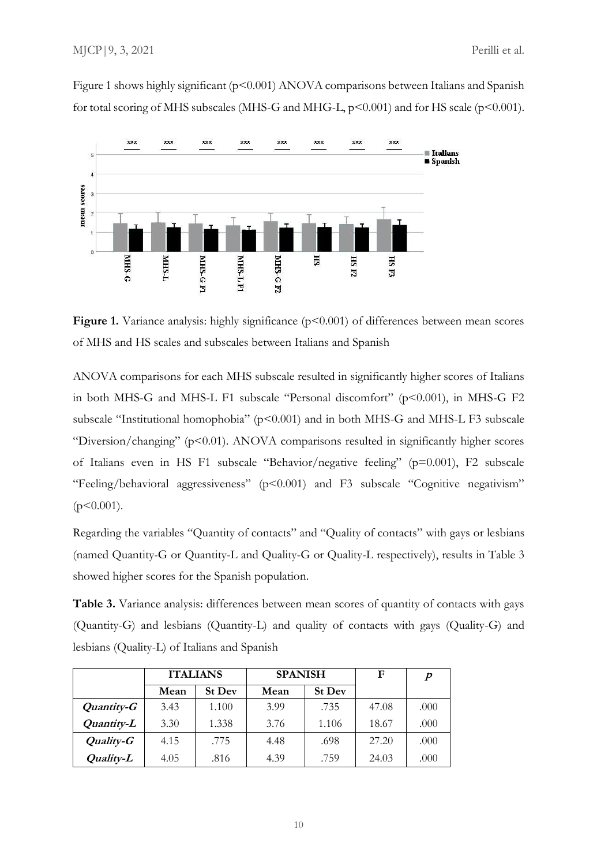Figure 1 shows highly significant (p<0.001) ANOVA comparisons between Italians and Spanish for total scoring of MHS subscales (MHS-G and MHG-L,  $p$ <0.001) and for HS scale ( $p$ <0.001).



**Figure 1.** Variance analysis: highly significance ( $p<0.001$ ) of differences between mean scores of MHS and HS scales and subscales between Italians and Spanish

ANOVA comparisons for each MHS subscale resulted in significantly higher scores of Italians in both MHS-G and MHS-L F1 subscale "Personal discomfort" (p<0.001), in MHS-G F2 subscale "Institutional homophobia" (p<0.001) and in both MHS-G and MHS-L F3 subscale "Diversion/changing" (p<0.01). ANOVA comparisons resulted in significantly higher scores of Italians even in HS F1 subscale "Behavior/negative feeling" (p=0.001), F2 subscale "Feeling/behavioral aggressiveness" (p<0.001) and F3 subscale "Cognitive negativism"  $(p<0.001)$ .

Regarding the variables "Quantity of contacts" and "Quality of contacts" with gays or lesbians (named Quantity-G or Quantity-L and Quality-G or Quality-L respectively), results in Table 3 showed higher scores for the Spanish population.

**Table 3.** Variance analysis: differences between mean scores of quantity of contacts with gays (Quantity-G) and lesbians (Quantity-L) and quality of contacts with gays (Quality-G) and lesbians (Quality-L) of Italians and Spanish

|            | <b>ITALIANS</b> |               | <b>SPANISH</b> |               | F     | $\boldsymbol{p}$ |
|------------|-----------------|---------------|----------------|---------------|-------|------------------|
|            | Mean            | <b>St Dev</b> | Mean           | <b>St Dev</b> |       |                  |
| Quantity-G | 3.43            | 1.100         | 3.99           | .735          | 47.08 | .000             |
| Quantity-L | 3.30            | 1.338         | 3.76           | 1.106         | 18.67 | .000             |
| Quality-G  | 4.15            | .775          | 4.48           | .698          | 27.20 | .000             |
| Quality-L  | 4.05            | .816          | 4.39           | .759          | 24.03 | .000             |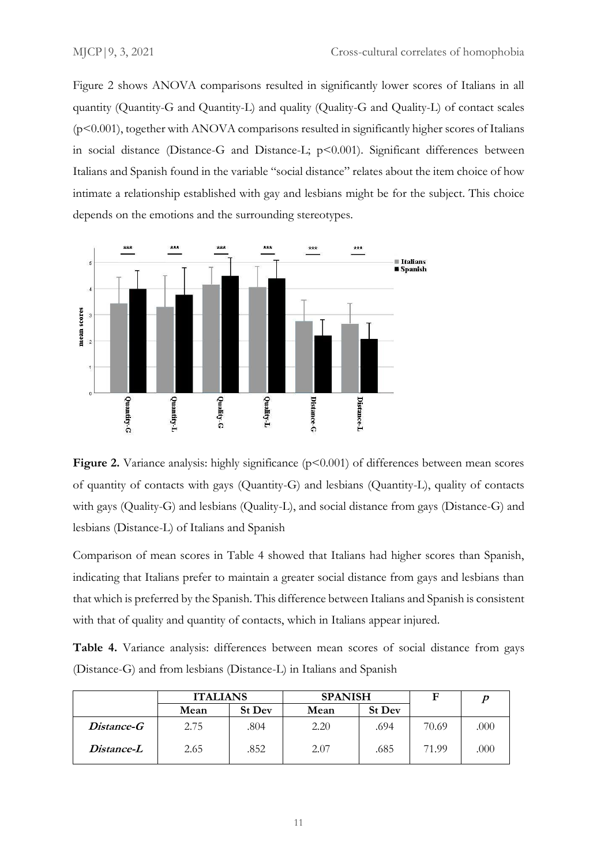Figure 2 shows ANOVA comparisons resulted in significantly lower scores of Italians in all quantity (Quantity-G and Quantity-L) and quality (Quality-G and Quality-L) of contact scales (p<0.001), together with ANOVA comparisons resulted in significantly higher scores of Italians in social distance (Distance-G and Distance-L;  $p$ <0.001). Significant differences between Italians and Spanish found in the variable "social distance" relates about the item choice of how intimate a relationship established with gay and lesbians might be for the subject. This choice depends on the emotions and the surrounding stereotypes.





Comparison of mean scores in Table 4 showed that Italians had higher scores than Spanish, indicating that Italians prefer to maintain a greater social distance from gays and lesbians than that which is preferred by the Spanish. This difference between Italians and Spanish is consistent with that of quality and quantity of contacts, which in Italians appear injured.

**Table 4.** Variance analysis: differences between mean scores of social distance from gays (Distance-G) and from lesbians (Distance-L) in Italians and Spanish

|                   | <b>ITALIANS</b> |               | <b>SPANISH</b> |               | F     |      |
|-------------------|-----------------|---------------|----------------|---------------|-------|------|
|                   | Mean            | <b>St Dev</b> | Mean           | <b>St Dev</b> |       |      |
| <i>Distance-G</i> | 2.75            | .804          | 2.20           | .694          | 70.69 | .000 |
| Distance-L        | 2.65            | .852          | 2.07           | .685          | 71.99 | .000 |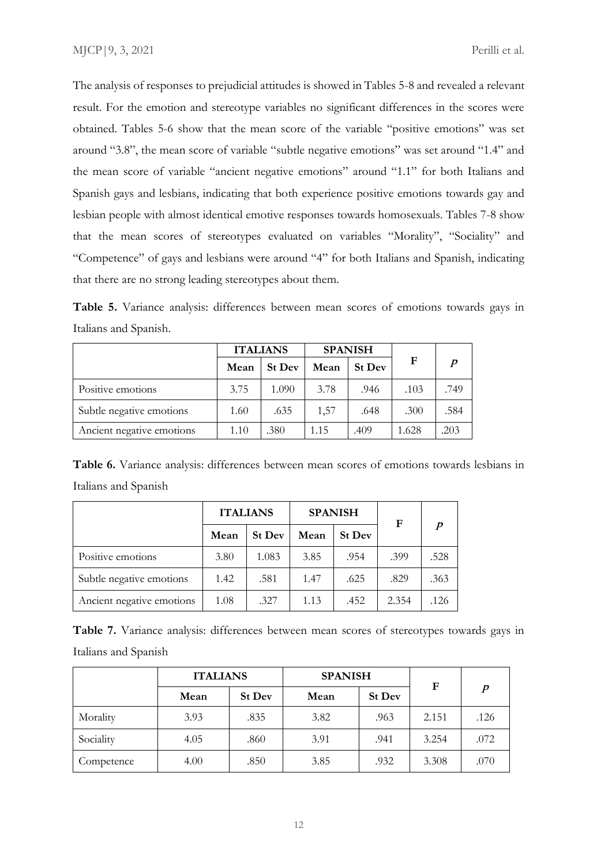The analysis of responses to prejudicial attitudes is showed in Tables 5-8 and revealed a relevant result. For the emotion and stereotype variables no significant differences in the scores were obtained. Tables 5-6 show that the mean score of the variable "positive emotions" was set around "3.8", the mean score of variable "subtle negative emotions" was set around "1.4" and the mean score of variable "ancient negative emotions" around "1.1" for both Italians and Spanish gays and lesbians, indicating that both experience positive emotions towards gay and lesbian people with almost identical emotive responses towards homosexuals. Tables 7-8 show that the mean scores of stereotypes evaluated on variables "Morality", "Sociality" and "Competence" of gays and lesbians were around "4" for both Italians and Spanish, indicating that there are no strong leading stereotypes about them.

**Table 5.** Variance analysis: differences between mean scores of emotions towards gays in Italians and Spanish.

|                           | <b>ITALIANS</b> |               |      | <b>SPANISH</b> |       |                  |
|---------------------------|-----------------|---------------|------|----------------|-------|------------------|
|                           | Mean            | <b>St Dev</b> | Mean | <b>St Dev</b>  | F     | $\boldsymbol{p}$ |
| Positive emotions         | 3.75            | 1.090         | 3.78 | .946           | .103  | .749             |
| Subtle negative emotions  | 1.60            | .635          | 1,57 | .648           | .300  | .584             |
| Ancient negative emotions | 1.10            | .380          | 1.15 | .409           | 1.628 | .203             |

**Table 6.** Variance analysis: differences between mean scores of emotions towards lesbians in Italians and Spanish

|                           | <b>ITALIANS</b> |               |      | <b>SPANISH</b> | F     |                  |
|---------------------------|-----------------|---------------|------|----------------|-------|------------------|
|                           | Mean            | <b>St Dev</b> | Mean | <b>St Dev</b>  |       | $\boldsymbol{p}$ |
| Positive emotions         | 3.80            | 1.083         | 3.85 | .954           | .399  | .528             |
| Subtle negative emotions  | 1.42            | .581          | 1.47 | .625           | .829  | .363             |
| Ancient negative emotions | 1.08            | .327          | 1.13 | .452           | 2.354 | .126             |

**Table 7.** Variance analysis: differences between mean scores of stereotypes towards gays in Italians and Spanish

|            | <b>ITALIANS</b> |               | <b>SPANISH</b> | F    |       |                  |  |
|------------|-----------------|---------------|----------------|------|-------|------------------|--|
|            | Mean            | <b>St Dev</b> | Mean           |      |       | $\boldsymbol{p}$ |  |
| Morality   | 3.93            | .835          | 3.82           | .963 | 2.151 | .126             |  |
| Sociality  | 4.05            | .860          | 3.91           | .941 | 3.254 | .072             |  |
| Competence | 4.00            | .850          | 3.85           | .932 | 3.308 | .070             |  |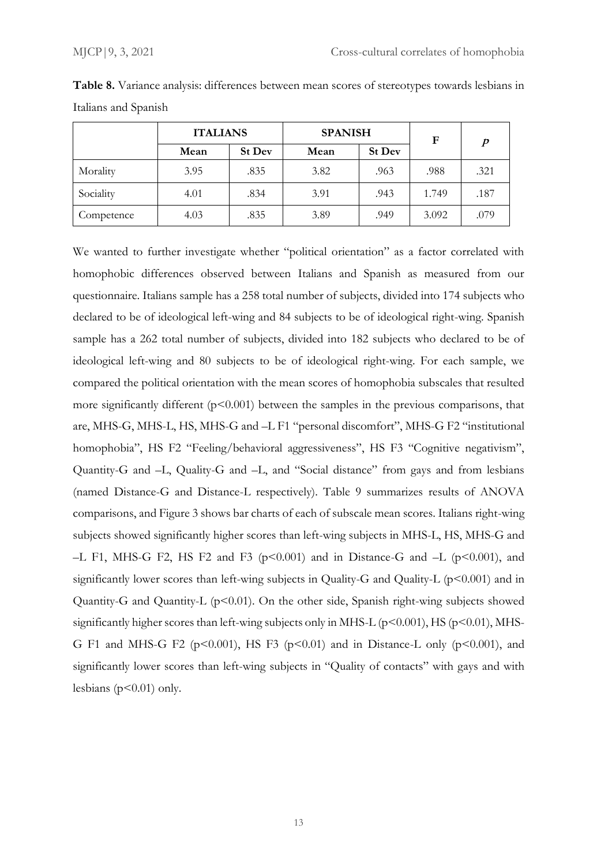|            | <b>ITALIANS</b> |               | <b>SPANISH</b> |               | $\mathbf F$ | $\boldsymbol{p}$ |  |
|------------|-----------------|---------------|----------------|---------------|-------------|------------------|--|
|            | Mean            | <b>St Dev</b> | Mean           | <b>St Dev</b> |             |                  |  |
| Morality   | 3.95            | .835          | 3.82           | .963          | .988        | .321             |  |
| Sociality  | 4.01            | .834          | 3.91           | .943          | 1.749       | .187             |  |
| Competence | 4.03            | .835          | 3.89           | .949          | 3.092       | .079             |  |

**Table 8.** Variance analysis: differences between mean scores of stereotypes towards lesbians in Italians and Spanish

We wanted to further investigate whether "political orientation" as a factor correlated with homophobic differences observed between Italians and Spanish as measured from our questionnaire. Italians sample has a 258 total number of subjects, divided into 174 subjects who declared to be of ideological left-wing and 84 subjects to be of ideological right-wing. Spanish sample has a 262 total number of subjects, divided into 182 subjects who declared to be of ideological left-wing and 80 subjects to be of ideological right-wing. For each sample, we compared the political orientation with the mean scores of homophobia subscales that resulted more significantly different ( $p<0.001$ ) between the samples in the previous comparisons, that are, MHS-G, MHS-L, HS, MHS-G and –L F1 "personal discomfort", MHS-G F2 "institutional homophobia", HS F2 "Feeling/behavioral aggressiveness", HS F3 "Cognitive negativism", Quantity-G and –L, Quality-G and –L, and "Social distance" from gays and from lesbians (named Distance-G and Distance-L respectively). Table 9 summarizes results of ANOVA comparisons, and Figure 3 shows bar charts of each of subscale mean scores. Italians right-wing subjects showed significantly higher scores than left-wing subjects in MHS-L, HS, MHS-G and –L F1, MHS-G F2, HS F2 and F3 ( $p \le 0.001$ ) and in Distance-G and –L ( $p \le 0.001$ ), and significantly lower scores than left-wing subjects in Quality-G and Quality-L ( $p$ <0.001) and in Quantity-G and Quantity-L (p<0.01). On the other side, Spanish right-wing subjects showed significantly higher scores than left-wing subjects only in MHS-L ( $p$ <0.001), HS ( $p$ <0.01), MHS-G F1 and MHS-G F2 ( $p \le 0.001$ ), HS F3 ( $p \le 0.01$ ) and in Distance-L only ( $p \le 0.001$ ), and significantly lower scores than left-wing subjects in "Quality of contacts" with gays and with lesbians ( $p<0.01$ ) only.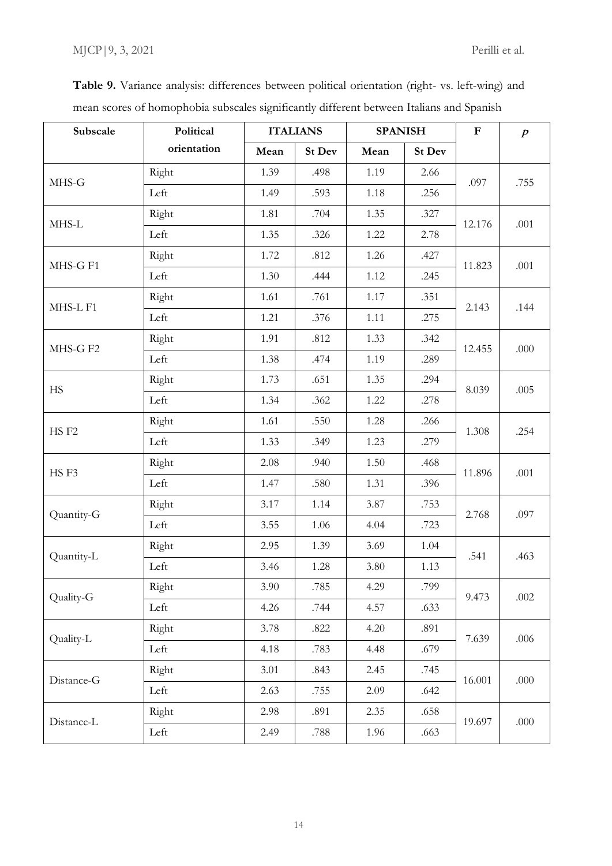| Subscale         | Political   | <b>ITALIANS</b> |               | <b>SPANISH</b> |               | $\mathbf F$ | $\boldsymbol{p}$ |
|------------------|-------------|-----------------|---------------|----------------|---------------|-------------|------------------|
|                  | orientation | Mean            | <b>St Dev</b> | Mean           | <b>St Dev</b> |             |                  |
| MHS-G            | Right       | 1.39            | .498          | 1.19           | 2.66          | .097        |                  |
|                  | Left        | 1.49            | .593          | 1.18           | .256          |             | .755             |
| MHS-L            | Right       | 1.81            | .704          | 1.35           | .327          | 12.176      |                  |
|                  | Left        | 1.35            | .326          | 1.22           | 2.78          |             | .001             |
| MHS-G F1         | Right       | 1.72            | .812          | 1.26           | .427          | 11.823      | .001             |
|                  | Left        | 1.30            | .444          | 1.12           | .245          |             |                  |
| MHS-L F1         | Right       | 1.61            | .761          | 1.17           | .351          | 2.143       | .144             |
|                  | Left        | 1.21            | .376          | 1.11           | .275          |             |                  |
| MHS-G F2         | Right       | 1.91            | .812          | 1.33           | .342          | 12.455      | .000             |
|                  | Left        | 1.38            | .474          | 1.19           | .289          |             |                  |
| <b>HS</b>        | Right       | 1.73            | .651          | 1.35           | .294          | 8.039       | .005             |
|                  | Left        | 1.34            | .362          | 1.22           | .278          |             |                  |
|                  | Right       | 1.61            | .550          | 1.28           | .266          | 1.308       | .254             |
| HS <sub>F2</sub> | Left        | 1.33            | .349          | 1.23           | .279          |             |                  |
| HSF3             | Right       | 2.08            | .940          | 1.50           | .468          | 11.896      | .001             |
|                  | Left        | 1.47            | .580          | 1.31           | .396          |             |                  |
| Quantity-G       | Right       | 3.17            | 1.14          | 3.87           | .753          | 2.768       | .097             |
|                  | Left        | 3.55            | 1.06          | 4.04           | .723          |             |                  |
| Quantity-L       | Right       | 2.95            | 1.39          | 3.69           | 1.04          | .541        | .463             |
|                  | Left        | 3.46            | 1.28          | 3.80           | 1.13          |             |                  |
| Quality-G        | Right       | 3.90            | .785          | 4.29           | .799          | 9.473       | .002             |
|                  | Left        | 4.26            | .744          | 4.57           | .633          |             |                  |
| Quality-L        | Right       | 3.78            | .822          | 4.20           | .891          | 7.639       | .006             |
|                  | Left        | 4.18            | .783          | 4.48           | .679          |             |                  |
| Distance-G       | Right       | 3.01            | .843          | 2.45           | .745          | 16.001      | .000             |
|                  | Left        | 2.63            | .755          | 2.09           | .642          |             |                  |
| Distance-L       | Right       | 2.98            | .891          | 2.35           | .658          | 19.697      | $.000$           |
|                  | Left        | 2.49            | .788          | 1.96           | .663          |             |                  |

**Table 9.** Variance analysis: differences between political orientation (right- vs. left-wing) and mean scores of homophobia subscales significantly different between Italians and Spanish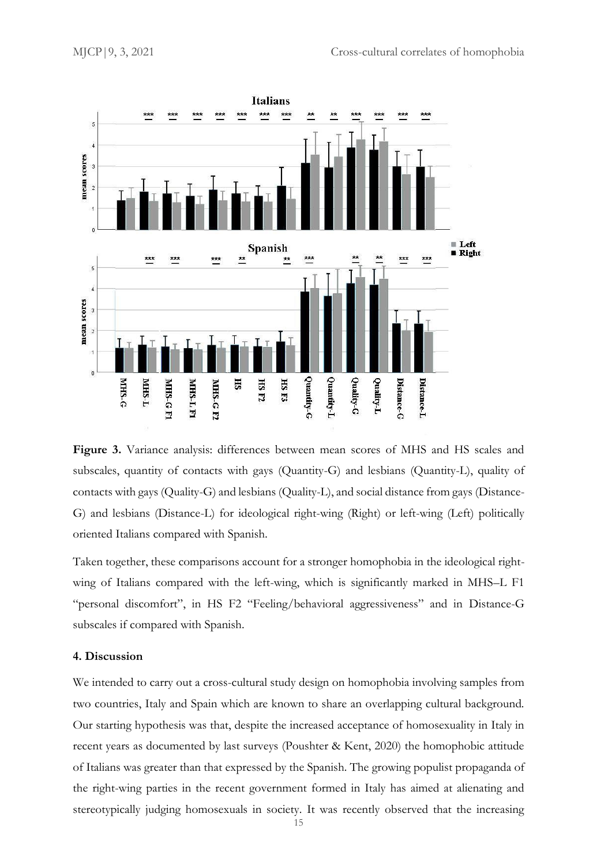

**Figure 3.** Variance analysis: differences between mean scores of MHS and HS scales and subscales, quantity of contacts with gays (Quantity-G) and lesbians (Quantity-L), quality of contacts with gays (Quality-G) and lesbians (Quality-L), and social distance from gays (Distance-G) and lesbians (Distance-L) for ideological right-wing (Right) or left-wing (Left) politically oriented Italians compared with Spanish*.* 

Taken together, these comparisons account for a stronger homophobia in the ideological rightwing of Italians compared with the left-wing, which is significantly marked in MHS–L F1 "personal discomfort", in HS F2 "Feeling/behavioral aggressiveness" and in Distance-G subscales if compared with Spanish.

### **4. Discussion**

We intended to carry out a cross-cultural study design on homophobia involving samples from two countries, Italy and Spain which are known to share an overlapping cultural background. Our starting hypothesis was that, despite the increased acceptance of homosexuality in Italy in recent years as documented by last surveys (Poushter & Kent, 2020) the homophobic attitude of Italians was greater than that expressed by the Spanish. The growing populist propaganda of the right-wing parties in the recent government formed in Italy has aimed at alienating and stereotypically judging homosexuals in society. It was recently observed that the increasing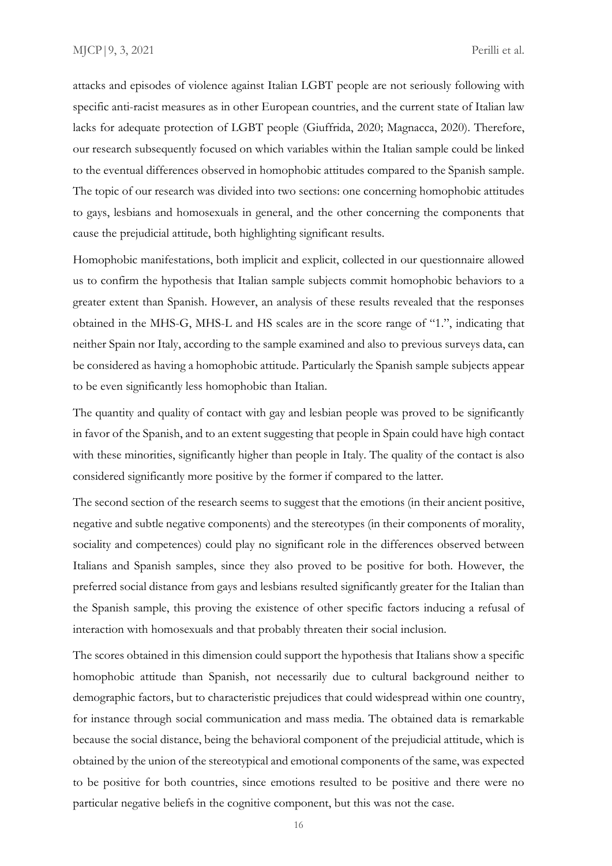attacks and episodes of violence against Italian LGBT people are not seriously following with specific anti-racist measures as in other European countries, and the current state of Italian law lacks for adequate protection of LGBT people (Giuffrida, 2020; Magnacca, 2020). Therefore, our research subsequently focused on which variables within the Italian sample could be linked to the eventual differences observed in homophobic attitudes compared to the Spanish sample. The topic of our research was divided into two sections: one concerning homophobic attitudes to gays, lesbians and homosexuals in general, and the other concerning the components that cause the prejudicial attitude, both highlighting significant results.

Homophobic manifestations, both implicit and explicit, collected in our questionnaire allowed us to confirm the hypothesis that Italian sample subjects commit homophobic behaviors to a greater extent than Spanish. However, an analysis of these results revealed that the responses obtained in the MHS-G, MHS-L and HS scales are in the score range of "1.", indicating that neither Spain nor Italy, according to the sample examined and also to previous surveys data, can be considered as having a homophobic attitude. Particularly the Spanish sample subjects appear to be even significantly less homophobic than Italian.

The quantity and quality of contact with gay and lesbian people was proved to be significantly in favor of the Spanish, and to an extent suggesting that people in Spain could have high contact with these minorities, significantly higher than people in Italy. The quality of the contact is also considered significantly more positive by the former if compared to the latter.

The second section of the research seems to suggest that the emotions (in their ancient positive, negative and subtle negative components) and the stereotypes (in their components of morality, sociality and competences) could play no significant role in the differences observed between Italians and Spanish samples, since they also proved to be positive for both. However, the preferred social distance from gays and lesbians resulted significantly greater for the Italian than the Spanish sample, this proving the existence of other specific factors inducing a refusal of interaction with homosexuals and that probably threaten their social inclusion.

The scores obtained in this dimension could support the hypothesis that Italians show a specific homophobic attitude than Spanish, not necessarily due to cultural background neither to demographic factors, but to characteristic prejudices that could widespread within one country, for instance through social communication and mass media. The obtained data is remarkable because the social distance, being the behavioral component of the prejudicial attitude, which is obtained by the union of the stereotypical and emotional components of the same, was expected to be positive for both countries, since emotions resulted to be positive and there were no particular negative beliefs in the cognitive component, but this was not the case.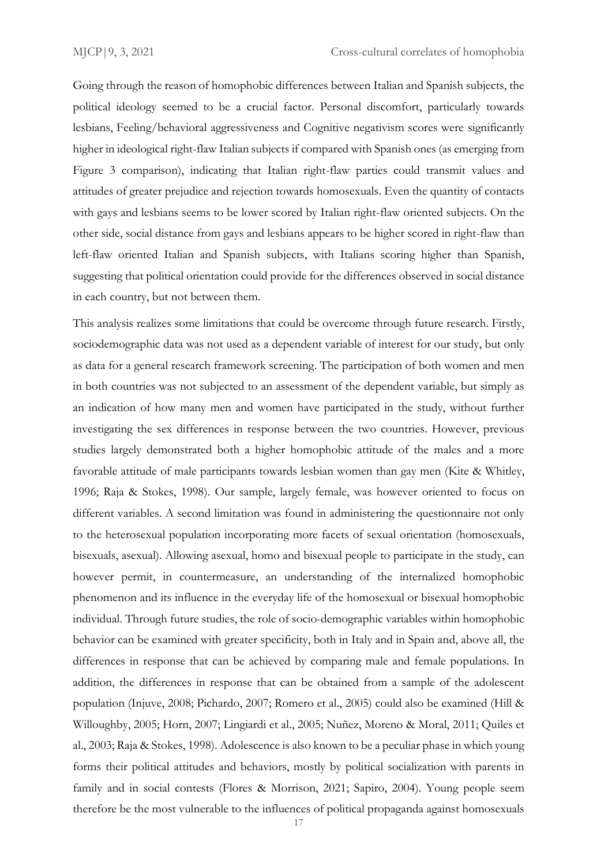Going through the reason of homophobic differences between Italian and Spanish subjects, the political ideology seemed to be a crucial factor. Personal discomfort, particularly towards lesbians, Feeling/behavioral aggressiveness and Cognitive negativism scores were significantly higher in ideological right-flaw Italian subjects if compared with Spanish ones (as emerging from Figure 3 comparison), indicating that Italian right-flaw parties could transmit values and attitudes of greater prejudice and rejection towards homosexuals. Even the quantity of contacts with gays and lesbians seems to be lower scored by Italian right-flaw oriented subjects. On the other side, social distance from gays and lesbians appears to be higher scored in right-flaw than left-flaw oriented Italian and Spanish subjects, with Italians scoring higher than Spanish, suggesting that political orientation could provide for the differences observed in social distance in each country, but not between them.

This analysis realizes some limitations that could be overcome through future research. Firstly, sociodemographic data was not used as a dependent variable of interest for our study, but only as data for a general research framework screening. The participation of both women and men in both countries was not subjected to an assessment of the dependent variable, but simply as an indication of how many men and women have participated in the study, without further investigating the sex differences in response between the two countries. However, previous studies largely demonstrated both a higher homophobic attitude of the males and a more favorable attitude of male participants towards lesbian women than gay men (Kite & Whitley, 1996; Raja & Stokes, 1998). Our sample, largely female, was however oriented to focus on different variables. A second limitation was found in administering the questionnaire not only to the heterosexual population incorporating more facets of sexual orientation (homosexuals, bisexuals, asexual). Allowing asexual, homo and bisexual people to participate in the study, can however permit, in countermeasure, an understanding of the internalized homophobic phenomenon and its influence in the everyday life of the homosexual or bisexual homophobic individual. Through future studies, the role of socio-demographic variables within homophobic behavior can be examined with greater specificity, both in Italy and in Spain and, above all, the differences in response that can be achieved by comparing male and female populations. In addition, the differences in response that can be obtained from a sample of the adolescent population (Injuve, 2008; Pichardo, 2007; Romero et al., 2005) could also be examined (Hill & Willoughby, 2005; Horn, 2007; Lingiardi et al., 2005; Nuñez, Moreno & Moral, 2011; Quiles et al., 2003; Raja & Stokes, 1998). Adolescence is also known to be a peculiar phase in which young forms their political attitudes and behaviors, mostly by political socialization with parents in family and in social contests (Flores & Morrison, 2021; Sapiro, 2004). Young people seem therefore be the most vulnerable to the influences of political propaganda against homosexuals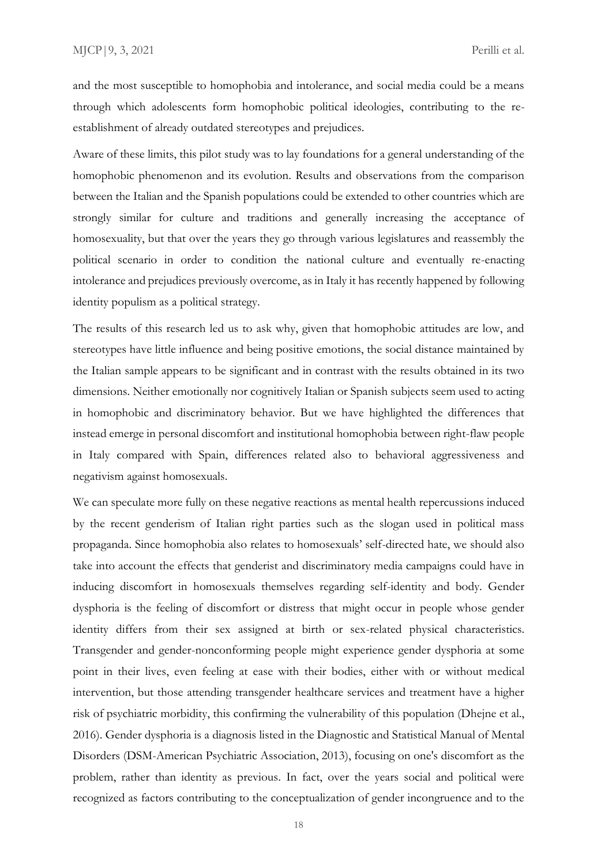and the most susceptible to homophobia and intolerance, and social media could be a means through which adolescents form homophobic political ideologies, contributing to the reestablishment of already outdated stereotypes and prejudices.

Aware of these limits, this pilot study was to lay foundations for a general understanding of the homophobic phenomenon and its evolution. Results and observations from the comparison between the Italian and the Spanish populations could be extended to other countries which are strongly similar for culture and traditions and generally increasing the acceptance of homosexuality, but that over the years they go through various legislatures and reassembly the political scenario in order to condition the national culture and eventually re-enacting intolerance and prejudices previously overcome, as in Italy it has recently happened by following identity populism as a political strategy.

The results of this research led us to ask why, given that homophobic attitudes are low, and stereotypes have little influence and being positive emotions, the social distance maintained by the Italian sample appears to be significant and in contrast with the results obtained in its two dimensions. Neither emotionally nor cognitively Italian or Spanish subjects seem used to acting in homophobic and discriminatory behavior. But we have highlighted the differences that instead emerge in personal discomfort and institutional homophobia between right-flaw people in Italy compared with Spain, differences related also to behavioral aggressiveness and negativism against homosexuals.

We can speculate more fully on these negative reactions as mental health repercussions induced by the recent genderism of Italian right parties such as the slogan used in political mass propaganda. Since homophobia also relates to homosexuals' self-directed hate, we should also take into account the effects that genderist and discriminatory media campaigns could have in inducing discomfort in homosexuals themselves regarding self-identity and body. Gender dysphoria is the feeling of discomfort or distress that might occur in people whose gender identity differs from their sex assigned at birth or sex-related physical characteristics. Transgender and gender-nonconforming people might experience gender dysphoria at some point in their lives, even feeling at ease with their bodies, either with or without medical intervention, but those attending transgender healthcare services and treatment have a higher risk of psychiatric morbidity, this confirming the vulnerability of this population (Dhejne et al., 2016). Gender dysphoria is a diagnosis listed in the Diagnostic and Statistical Manual of Mental Disorders (DSM-American Psychiatric Association, 2013), focusing on one's discomfort as the problem, rather than identity as previous. In fact, over the years social and political were recognized as factors contributing to the conceptualization of gender incongruence and to the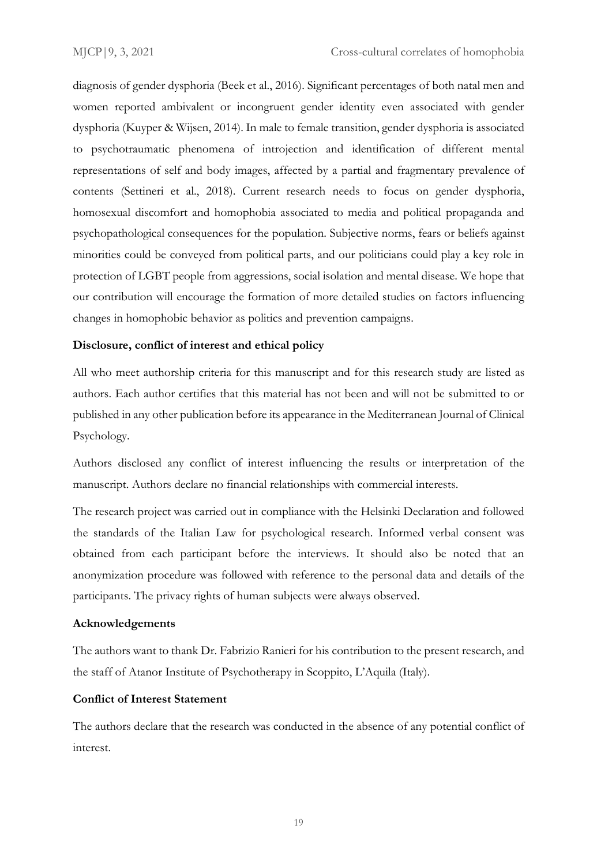diagnosis of gender dysphoria (Beek et al., 2016). Significant percentages of both natal men and women reported ambivalent or incongruent gender identity even associated with gender dysphoria (Kuyper & Wijsen, 2014). In male to female transition, gender dysphoria is associated to psychotraumatic phenomena of introjection and identification of different mental representations of self and body images, affected by a partial and fragmentary prevalence of contents (Settineri et al., 2018). Current research needs to focus on gender dysphoria, homosexual discomfort and homophobia associated to media and political propaganda and psychopathological consequences for the population. Subjective norms, fears or beliefs against minorities could be conveyed from political parts, and our politicians could play a key role in protection of LGBT people from aggressions, social isolation and mental disease. We hope that our contribution will encourage the formation of more detailed studies on factors influencing changes in homophobic behavior as politics and prevention campaigns.

# **Disclosure, conflict of interest and ethical policy**

All who meet authorship criteria for this manuscript and for this research study are listed as authors. Each author certifies that this material has not been and will not be submitted to or published in any other publication before its appearance in the Mediterranean Journal of Clinical Psychology.

Authors disclosed any conflict of interest influencing the results or interpretation of the manuscript. Authors declare no financial relationships with commercial interests.

The research project was carried out in compliance with the Helsinki Declaration and followed the standards of the Italian Law for psychological research. Informed verbal consent was obtained from each participant before the interviews. It should also be noted that an anonymization procedure was followed with reference to the personal data and details of the participants. The privacy rights of human subjects were always observed.

#### **Acknowledgements**

The authors want to thank Dr. Fabrizio Ranieri for his contribution to the present research, and the staff of Atanor Institute of Psychotherapy in Scoppito, L'Aquila (Italy).

#### **Conflict of Interest Statement**

The authors declare that the research was conducted in the absence of any potential conflict of interest.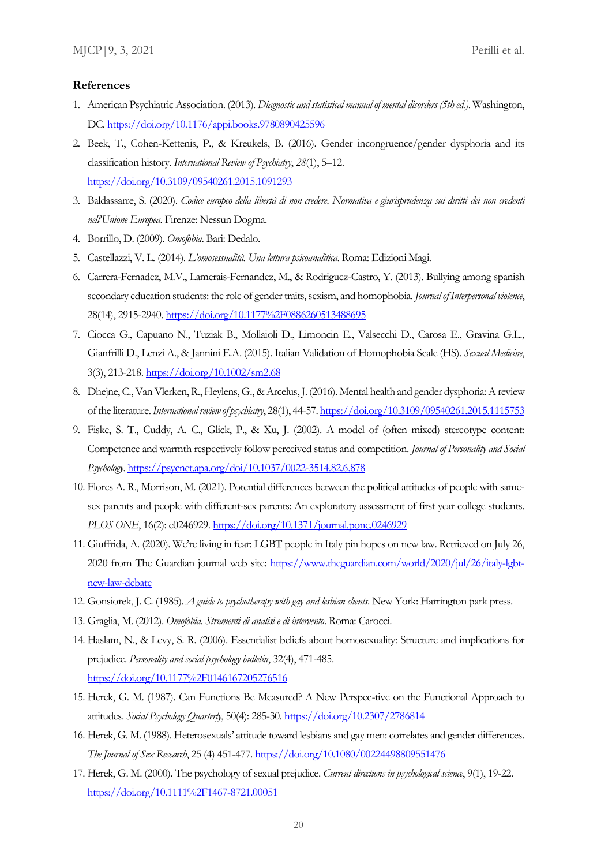#### **References**

- 1. American Psychiatric Association. (2013). *Diagnostic and statistical manual of mental disorders (5th ed.)*. Washington, DC[. https://doi.org/10.1176/appi.books.9780890425596](https://doi.org/10.1176/appi.books.9780890425596)
- 2. Beek, T., Cohen-Kettenis, P., & Kreukels, B. (2016). Gender incongruence/gender dysphoria and its classification history. *International Review of Psychiatry*, *28*(1), 5–12. <https://doi.org/10.3109/09540261.2015.1091293>
- 3. Baldassarre, S. (2020). *Codice europeo della libertà di non credere. Normativa e giurisprudenza sui diritti dei non credenti nell'Unione Europea*. Firenze: Nessun Dogma.
- 4. Borrillo, D. (2009). *Omofobia*. Bari: Dedalo.
- 5. Castellazzi, V. L. (2014). *L'omosessualità. Una lettura psicoanalitica*. Roma: Edizioni Magi.
- 6. Carrera-Fernadez, M.V., Lamerais-Fernandez, M., & Rodriguez-Castro, Y. (2013). Bullying among spanish secondary education students: the role of gender traits, sexism, and homophobia. *Journal of Interpersonal violence*, 28(14), 2915-2940[. https://doi.org/10.1177%2F0886260513488695](https://doi.org/10.1177%2F0886260513488695)
- 7. Ciocca G., Capuano N., Tuziak B., Mollaioli D., Limoncin E., Valsecchi D., Carosa E., Gravina G.L., Gianfrilli D., Lenzi A., & Jannini E.A. (2015). Italian Validation of Homophobia Scale (HS). *Sexual Medicine*, 3(3), 213-218.<https://doi.org/10.1002/sm2.68>
- 8. Dhejne, C., Van Vlerken, R., Heylens, G., & Arcelus, J. (2016). Mental health and gender dysphoria: A review of the literature. *International review of psychiatry*, 28(1), 44-57[. https://doi.org/10.3109/09540261.2015.1115753](https://doi.org/10.3109/09540261.2015.1115753)
- 9. Fiske, S. T., Cuddy, A. C., Glick, P., & Xu, J. (2002). A model of (often mixed) stereotype content: Competence and warmth respectively follow perceived status and competition. *Journal of Personality and Social Psychology*[. https://psycnet.apa.org/doi/10.1037/0022-3514.82.6.878](https://psycnet.apa.org/doi/10.1037/0022-3514.82.6.878)
- 10. Flores A. R., Morrison, M. (2021). Potential differences between the political attitudes of people with samesex parents and people with different-sex parents: An exploratory assessment of first year college students. *PLOS ONE*, 16(2): e0246929[. https://doi.org/10.1371/journal.pone.0246929](https://doi.org/10.1371/journal.pone.0246929)
- 11. Giuffrida, A. (2020). We're living in fear: LGBT people in Italy pin hopes on new law. Retrieved on July 26, 2020 from The Guardian journal web site: [https://www.theguardian.com/world/2020/jul/26/italy-lgbt](https://www.theguardian.com/world/2020/jul/26/italy-lgbt-new-law-debate)[new-law-debate](https://www.theguardian.com/world/2020/jul/26/italy-lgbt-new-law-debate)
- 12. Gonsiorek, J. C. (1985). *A guide to psychotherapy with gay and lesbian clients*. New York: Harrington park press.
- 13. Graglia, M. (2012). *Omofobia. Strumenti di analisi e di intervento*. Roma: Carocci.
- 14. Haslam, N., & Levy, S. R. (2006). Essentialist beliefs about homosexuality: Structure and implications for prejudice. *Personality and social psychology bulletin*, 32(4), 471-485. <https://doi.org/10.1177%2F0146167205276516>
- 15. Herek, G. M. (1987). Can Functions Be Measured? A New Perspec-tive on the Functional Approach to attitudes. *Social Psychology Quarterly*, 50(4): 285-30.<https://doi.org/10.2307/2786814>
- 16. Herek, G. M. (1988). Heterosexuals' attitude toward lesbians and gay men: correlates and gender differences. *The Journal of Sex Research*, 25 (4) 451-477[. https://doi.org/10.1080/00224498809551476](https://doi.org/10.1080/00224498809551476)
- 17. Herek, G. M. (2000). The psychology of sexual prejudice. *Current directions in psychological science*, 9(1), 19-22. <https://doi.org/10.1111%2F1467-8721.00051>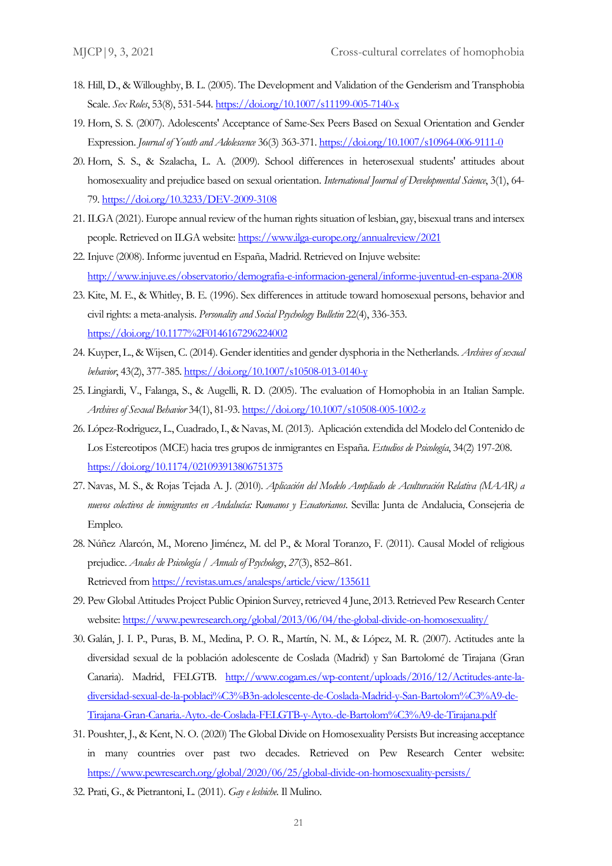- 18. Hill, D., & Willoughby, B. L. (2005). The Development and Validation of the Genderism and Transphobia Scale. *Sex Roles*, 53(8), 531-544[. https://doi.org/10.1007/s11199-005-7140-x](https://doi.org/10.1007/s11199-005-7140-x)
- 19. Horn, S. S. (2007). Adolescents' Acceptance of Same-Sex Peers Based on Sexual Orientation and Gender Expression. *Journal of Youth and Adolescence* 36(3) 363-371[. https://doi.org/10.1007/s10964-006-9111-0](https://doi.org/10.1007/s10964-006-9111-0)
- 20. Horn, S. S., & Szalacha, L. A. (2009). School differences in heterosexual students' attitudes about homosexuality and prejudice based on sexual orientation. *International Journal of Developmental Science*, 3(1), 64- 79. https:/[/doi.org/10.3233/DEV-2009-3108](http://dx.doi.org/10.3233/DEV-2009-3108)
- 21. ILGA (2021). Europe annual review of the human rights situation of lesbian, gay, bisexual trans and intersex people. Retrieved on ILGA website[: https://www.ilga-europe.org/annualreview/2021](https://www.ilga-europe.org/annualreview/2021)
- 22. Injuve (2008). Informe juventud en España, Madrid. Retrieved on Injuve website: <http://www.injuve.es/observatorio/demografia-e-informacion-general/informe-juventud-en-espana-2008>
- 23. Kite, M. E., & Whitley, B. E. (1996). Sex differences in attitude toward homosexual persons, behavior and civil rights: a meta-analysis. *Personality and Social Psychology Bulletin* 22(4), 336-353. https:/[/doi.org/10.1177%2F0146167296224002](https://doi.org/10.1177%2F0146167296224002)
- 24. Kuyper, L., & Wijsen, C. (2014). Gender identities and gender dysphoria in the Netherlands. *Archives of sexual behavior*, 43(2), 377-385[. https://](https://www.ilga-europe.org/annualreview/2021)[doi.org/10.1007/s10508-013-0140-y](https://doi.org/10.1007/s10508-013-0140-y)
- 25. Lingiardi, V., Falanga, S., & Augelli, R. D. (2005). The evaluation of Homophobia in an Italian Sample. *Archives of Sexual Behavior* 34(1), 81-93. [https://](https://www.ilga-europe.org/annualreview/2021)[doi.org/10.1007/s10508-005-1002-z](https://doi.org/10.1007/s10508-005-1002-z)
- 26. López-Rodriguez, L., Cuadrado, I., & Navas, M. (2013). Aplicación extendida del Modelo del Contenido de Los Estereotipos (MCE) hacia tres grupos de inmigrantes en España. *Estudios de Psicología*, 34(2) 197-208. https:/[/doi.org/10.1174/021093913806751375](https://doi.org/10.1174/021093913806751375)
- 27. Navas, M. S., & Rojas Tejada A. J. (2010). *Aplicación del Modelo Ampliado de Aculturación Relativa (MAAR) a nuevos colectivos de inmigrantes en Andalucía: Rumanos y Ecuatorianos*. Sevilla: Junta de Andalucia, Consejeria de Empleo.
- 28. Núñez Alarcón, M., Moreno Jiménez, M. del P., & Moral Toranzo, F. (2011). Causal Model of religious prejudice. *Anales de Psicología / Annals of Psychology*, *27*(3), 852–861. Retrieved from<https://revistas.um.es/analesps/article/view/135611>
- 29. Pew Global Attitudes Project Public Opinion Survey, retrieved 4 June, 2013. Retrieved Pew Research Center website[: https://www.pewresearch.org/global/2013/06/04/the-global-divide-on-homosexuality/](https://www.pewresearch.org/global/2013/06/04/the-global-divide-on-homosexuality/)
- 30. Galán, J. I. P., Puras, B. M., Medina, P. O. R., Martín, N. M., & López, M. R. (2007). Actitudes ante la diversidad sexual de la población adolescente de Coslada (Madrid) y San Bartolomé de Tirajana (Gran Canaria). Madrid, FELGTB. [http://www.cogam.es/wp-content/uploads/2016/12/Actitudes-ante-la](http://www.cogam.es/wp-content/uploads/2016/12/Actitudes-ante-la-diversidad-sexual-de-la-poblaci%C3%B3n-adolescente-de-Coslada-Madrid-y-San-Bartolom%C3%A9-de-Tirajana-Gran-Canaria.-Ayto.-de-Coslada-FELGTB-y-Ayto.-de-Bartolom%C3%A9-de-Tirajana.pdf)[diversidad-sexual-de-la-poblaci%C3%B3n-adolescente-de-Coslada-Madrid-y-San-Bartolom%C3%A9-de-](http://www.cogam.es/wp-content/uploads/2016/12/Actitudes-ante-la-diversidad-sexual-de-la-poblaci%C3%B3n-adolescente-de-Coslada-Madrid-y-San-Bartolom%C3%A9-de-Tirajana-Gran-Canaria.-Ayto.-de-Coslada-FELGTB-y-Ayto.-de-Bartolom%C3%A9-de-Tirajana.pdf)[Tirajana-Gran-Canaria.-Ayto.-de-Coslada-FELGTB-y-Ayto.-de-Bartolom%C3%A9-de-Tirajana.pdf](http://www.cogam.es/wp-content/uploads/2016/12/Actitudes-ante-la-diversidad-sexual-de-la-poblaci%C3%B3n-adolescente-de-Coslada-Madrid-y-San-Bartolom%C3%A9-de-Tirajana-Gran-Canaria.-Ayto.-de-Coslada-FELGTB-y-Ayto.-de-Bartolom%C3%A9-de-Tirajana.pdf)
- 31. Poushter, J., & Kent, N. O. (2020) The Global Divide on Homosexuality Persists But increasing acceptance in many countries over past two decades. Retrieved on Pew Research Center website: <https://www.pewresearch.org/global/2020/06/25/global-divide-on-homosexuality-persists/>
- 32. Prati, G., & Pietrantoni, L. (2011). *Gay e lesbiche*. Il Mulino.